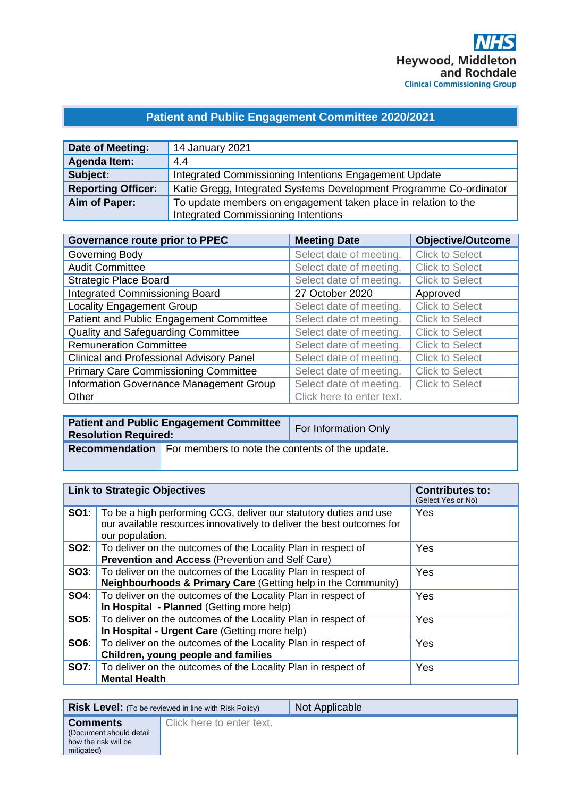# **Patient and Public Engagement Committee 2020/2021**

| Date of Meeting:          | 14 January 2021                                                                                              |
|---------------------------|--------------------------------------------------------------------------------------------------------------|
| <b>Agenda Item:</b>       | 4.4                                                                                                          |
| Subject:                  | Integrated Commissioning Intentions Engagement Update                                                        |
| <b>Reporting Officer:</b> | Katie Gregg, Integrated Systems Development Programme Co-ordinator                                           |
| Aim of Paper:             | To update members on engagement taken place in relation to the<br><b>Integrated Commissioning Intentions</b> |

| Governance route prior to PPEC                  | <b>Meeting Date</b>       | <b>Objective/Outcome</b> |
|-------------------------------------------------|---------------------------|--------------------------|
| Governing Body                                  | Select date of meeting.   | <b>Click to Select</b>   |
| <b>Audit Committee</b>                          | Select date of meeting.   | <b>Click to Select</b>   |
| <b>Strategic Place Board</b>                    | Select date of meeting.   | <b>Click to Select</b>   |
| <b>Integrated Commissioning Board</b>           | 27 October 2020           | Approved                 |
| <b>Locality Engagement Group</b>                | Select date of meeting.   | <b>Click to Select</b>   |
| Patient and Public Engagement Committee         | Select date of meeting.   | <b>Click to Select</b>   |
| <b>Quality and Safeguarding Committee</b>       | Select date of meeting.   | <b>Click to Select</b>   |
| <b>Remuneration Committee</b>                   | Select date of meeting.   | <b>Click to Select</b>   |
| <b>Clinical and Professional Advisory Panel</b> | Select date of meeting.   | <b>Click to Select</b>   |
| <b>Primary Care Commissioning Committee</b>     | Select date of meeting.   | <b>Click to Select</b>   |
| Information Governance Management Group         | Select date of meeting.   | <b>Click to Select</b>   |
| Other                                           | Click here to enter text. |                          |

| <b>Resolution Required:</b> | <b>Patient and Public Engagement Committee</b>                        | For Information Only |
|-----------------------------|-----------------------------------------------------------------------|----------------------|
|                             | <b>Recommendation</b> For members to note the contents of the update. |                      |

| <b>Link to Strategic Objectives</b>                                                                                                                                        | <b>Contributes to:</b><br>(Select Yes or No) |
|----------------------------------------------------------------------------------------------------------------------------------------------------------------------------|----------------------------------------------|
| <b>SO1</b> : To be a high performing CCG, deliver our statutory duties and use<br>our available resources innovatively to deliver the best outcomes for<br>our population. | <b>Yes</b>                                   |
| <b>SO2:</b>   To deliver on the outcomes of the Locality Plan in respect of<br><b>Prevention and Access (Prevention and Self Care)</b>                                     | <b>Yes</b>                                   |
| <b>SO3:</b>   To deliver on the outcomes of the Locality Plan in respect of<br><b>Neighbourhoods &amp; Primary Care (Getting help in the Community)</b>                    | Yes                                          |
| <b>SO4:</b> To deliver on the outcomes of the Locality Plan in respect of<br>In Hospital - Planned (Getting more help)                                                     | Yes                                          |
| <b>SO5:</b> To deliver on the outcomes of the Locality Plan in respect of<br>In Hospital - Urgent Care (Getting more help)                                                 | Yes                                          |
| <b>SO6:</b>   To deliver on the outcomes of the Locality Plan in respect of<br>Children, young people and families                                                         | Yes                                          |
| <b>SO7:</b> To deliver on the outcomes of the Locality Plan in respect of<br><b>Mental Health</b>                                                                          | Yes                                          |

|                                                                                  | <b>Risk Level:</b> (To be reviewed in line with Risk Policy) | Not Applicable |
|----------------------------------------------------------------------------------|--------------------------------------------------------------|----------------|
| <b>Comments</b><br>(Document should detail<br>how the risk will be<br>mitigated) | Click here to enter text.                                    |                |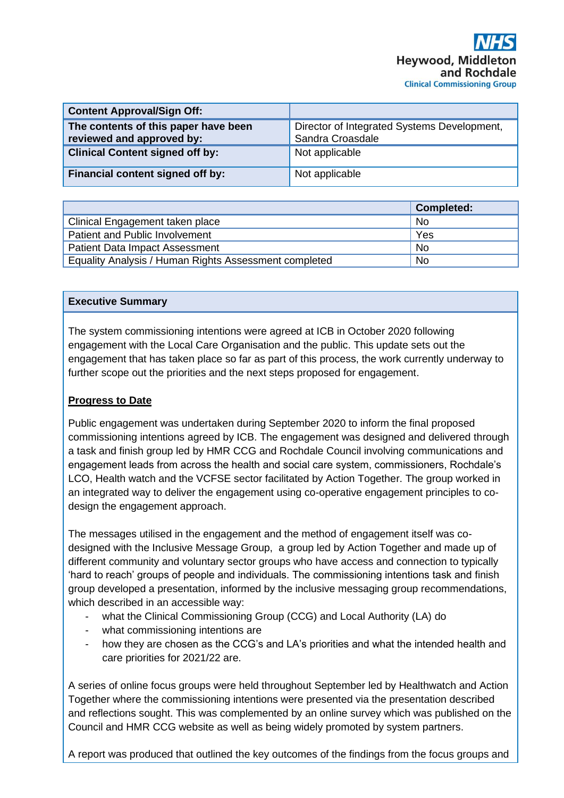| <b>Content Approval/Sign Off:</b>                                 |                                                                 |
|-------------------------------------------------------------------|-----------------------------------------------------------------|
| The contents of this paper have been<br>reviewed and approved by: | Director of Integrated Systems Development,<br>Sandra Croasdale |
| <b>Clinical Content signed off by:</b>                            | Not applicable                                                  |
| Financial content signed off by:                                  | Not applicable                                                  |

|                                                       | <b>Completed:</b> |
|-------------------------------------------------------|-------------------|
| Clinical Engagement taken place                       | <b>No</b>         |
| Patient and Public Involvement                        | Yes               |
| <b>Patient Data Impact Assessment</b>                 | <b>No</b>         |
| Equality Analysis / Human Rights Assessment completed | <b>No</b>         |

## **Executive Summary**

The system commissioning intentions were agreed at ICB in October 2020 following engagement with the Local Care Organisation and the public. This update sets out the engagement that has taken place so far as part of this process, the work currently underway to further scope out the priorities and the next steps proposed for engagement.

## **Progress to Date**

Public engagement was undertaken during September 2020 to inform the final proposed commissioning intentions agreed by ICB. The engagement was designed and delivered through a task and finish group led by HMR CCG and Rochdale Council involving communications and engagement leads from across the health and social care system, commissioners, Rochdale's LCO, Health watch and the VCFSE sector facilitated by Action Together. The group worked in an integrated way to deliver the engagement using co-operative engagement principles to codesign the engagement approach.

The messages utilised in the engagement and the method of engagement itself was codesigned with the Inclusive Message Group, a group led by Action Together and made up of different community and voluntary sector groups who have access and connection to typically 'hard to reach' groups of people and individuals. The commissioning intentions task and finish group developed a presentation, informed by the inclusive messaging group recommendations, which described in an accessible way:

- what the Clinical Commissioning Group (CCG) and Local Authority (LA) do
- what commissioning intentions are
- how they are chosen as the CCG's and LA's priorities and what the intended health and care priorities for 2021/22 are.

A series of online focus groups were held throughout September led by Healthwatch and Action Together where the commissioning intentions were presented via the presentation described and reflections sought. This was complemented by an online survey which was published on the Council and HMR CCG website as well as being widely promoted by system partners.

A report was produced that outlined the key outcomes of the findings from the focus groups and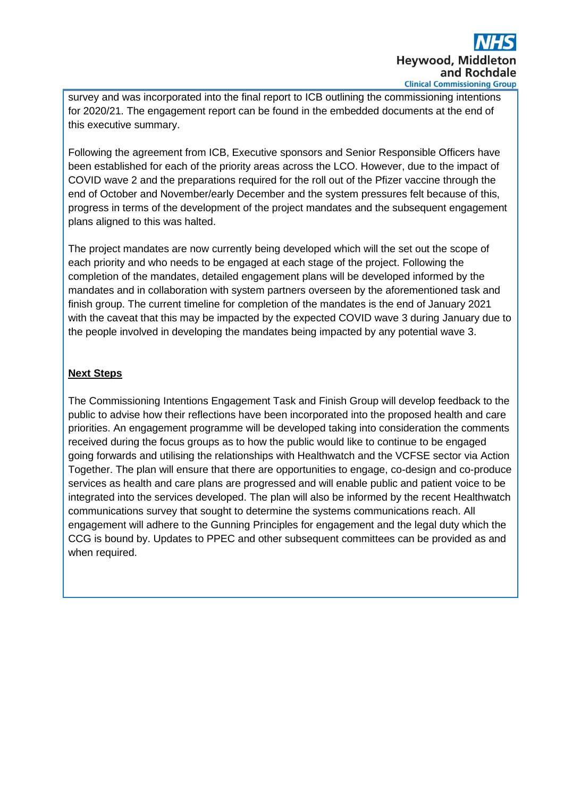

survey and was incorporated into the final report to ICB outlining the commissioning intentions for 2020/21. The engagement report can be found in the embedded documents at the end of this executive summary.

Following the agreement from ICB, Executive sponsors and Senior Responsible Officers have been established for each of the priority areas across the LCO. However, due to the impact of COVID wave 2 and the preparations required for the roll out of the Pfizer vaccine through the end of October and November/early December and the system pressures felt because of this, progress in terms of the development of the project mandates and the subsequent engagement plans aligned to this was halted.

The project mandates are now currently being developed which will the set out the scope of each priority and who needs to be engaged at each stage of the project. Following the completion of the mandates, detailed engagement plans will be developed informed by the mandates and in collaboration with system partners overseen by the aforementioned task and finish group. The current timeline for completion of the mandates is the end of January 2021 with the caveat that this may be impacted by the expected COVID wave 3 during January due to the people involved in developing the mandates being impacted by any potential wave 3.

# **Next Steps**

The Commissioning Intentions Engagement Task and Finish Group will develop feedback to the public to advise how their reflections have been incorporated into the proposed health and care priorities. An engagement programme will be developed taking into consideration the comments received during the focus groups as to how the public would like to continue to be engaged going forwards and utilising the relationships with Healthwatch and the VCFSE sector via Action Together. The plan will ensure that there are opportunities to engage, co-design and co-produce services as health and care plans are progressed and will enable public and patient voice to be integrated into the services developed. The plan will also be informed by the recent Healthwatch communications survey that sought to determine the systems communications reach. All engagement will adhere to the Gunning Principles for engagement and the legal duty which the CCG is bound by. Updates to PPEC and other subsequent committees can be provided as and when required.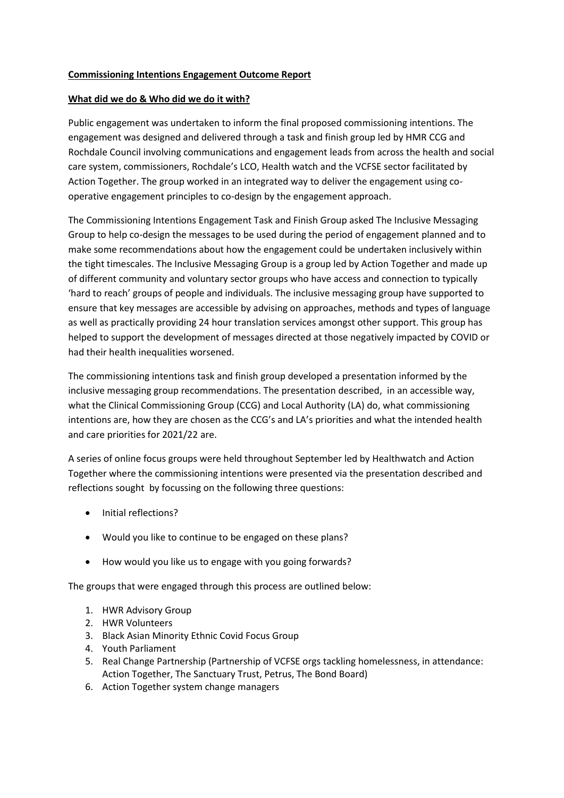#### **Commissioning Intentions Engagement Outcome Report**

#### **What did we do & Who did we do it with?**

Public engagement was undertaken to inform the final proposed commissioning intentions. The engagement was designed and delivered through a task and finish group led by HMR CCG and Rochdale Council involving communications and engagement leads from across the health and social care system, commissioners, Rochdale's LCO, Health watch and the VCFSE sector facilitated by Action Together. The group worked in an integrated way to deliver the engagement using cooperative engagement principles to co-design by the engagement approach.

The Commissioning Intentions Engagement Task and Finish Group asked The Inclusive Messaging Group to help co-design the messages to be used during the period of engagement planned and to make some recommendations about how the engagement could be undertaken inclusively within the tight timescales. The Inclusive Messaging Group is a group led by Action Together and made up of different community and voluntary sector groups who have access and connection to typically 'hard to reach' groups of people and individuals. The inclusive messaging group have supported to ensure that key messages are accessible by advising on approaches, methods and types of language as well as practically providing 24 hour translation services amongst other support. This group has helped to support the development of messages directed at those negatively impacted by COVID or had their health inequalities worsened.

The commissioning intentions task and finish group developed a presentation informed by the inclusive messaging group recommendations. The presentation described, in an accessible way, what the Clinical Commissioning Group (CCG) and Local Authority (LA) do, what commissioning intentions are, how they are chosen as the CCG's and LA's priorities and what the intended health and care priorities for 2021/22 are.

A series of online focus groups were held throughout September led by Healthwatch and Action Together where the commissioning intentions were presented via the presentation described and reflections sought by focussing on the following three questions:

- Initial reflections?
- Would you like to continue to be engaged on these plans?
- How would you like us to engage with you going forwards?

The groups that were engaged through this process are outlined below:

- 1. HWR Advisory Group
- 2. HWR Volunteers
- 3. Black Asian Minority Ethnic Covid Focus Group
- 4. Youth Parliament
- 5. Real Change Partnership (Partnership of VCFSE orgs tackling homelessness, in attendance: Action Together, The Sanctuary Trust, Petrus, The Bond Board)
- 6. Action Together system change managers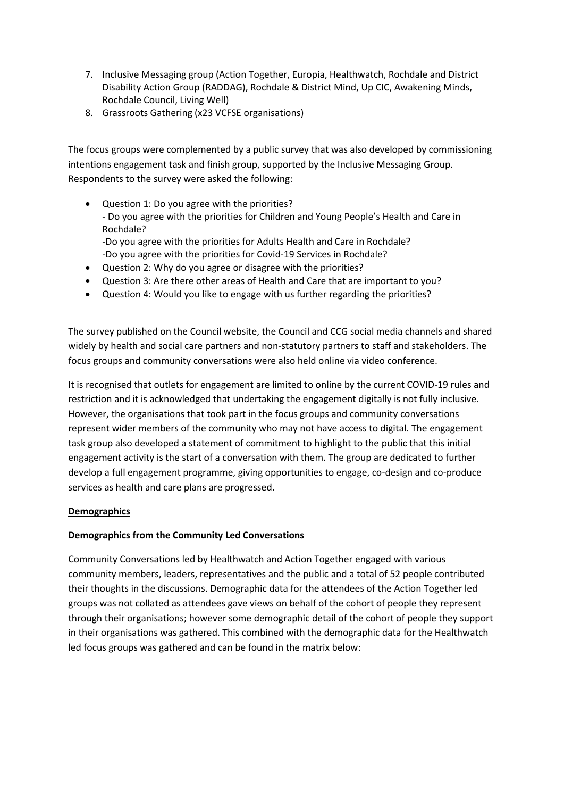- 7. Inclusive Messaging group (Action Together, Europia, Healthwatch, Rochdale and District Disability Action Group (RADDAG), Rochdale & District Mind, Up CIC, Awakening Minds, Rochdale Council, Living Well)
- 8. Grassroots Gathering (x23 VCFSE organisations)

The focus groups were complemented by a public survey that was also developed by commissioning intentions engagement task and finish group, supported by the Inclusive Messaging Group. Respondents to the survey were asked the following:

- Question 1: Do you agree with the priorities? - Do you agree with the priorities for Children and Young People's Health and Care in Rochdale?
	- -Do you agree with the priorities for Adults Health and Care in Rochdale? -Do you agree with the priorities for Covid-19 Services in Rochdale?
- Question 2: Why do you agree or disagree with the priorities?
- Question 3: Are there other areas of Health and Care that are important to you?
- Question 4: Would you like to engage with us further regarding the priorities?

The survey published on the Council website, the Council and CCG social media channels and shared widely by health and social care partners and non-statutory partners to staff and stakeholders. The focus groups and community conversations were also held online via video conference.

It is recognised that outlets for engagement are limited to online by the current COVID-19 rules and restriction and it is acknowledged that undertaking the engagement digitally is not fully inclusive. However, the organisations that took part in the focus groups and community conversations represent wider members of the community who may not have access to digital. The engagement task group also developed a statement of commitment to highlight to the public that this initial engagement activity is the start of a conversation with them. The group are dedicated to further develop a full engagement programme, giving opportunities to engage, co-design and co-produce services as health and care plans are progressed.

### **Demographics**

### **Demographics from the Community Led Conversations**

Community Conversations led by Healthwatch and Action Together engaged with various community members, leaders, representatives and the public and a total of 52 people contributed their thoughts in the discussions. Demographic data for the attendees of the Action Together led groups was not collated as attendees gave views on behalf of the cohort of people they represent through their organisations; however some demographic detail of the cohort of people they support in their organisations was gathered. This combined with the demographic data for the Healthwatch led focus groups was gathered and can be found in the matrix below: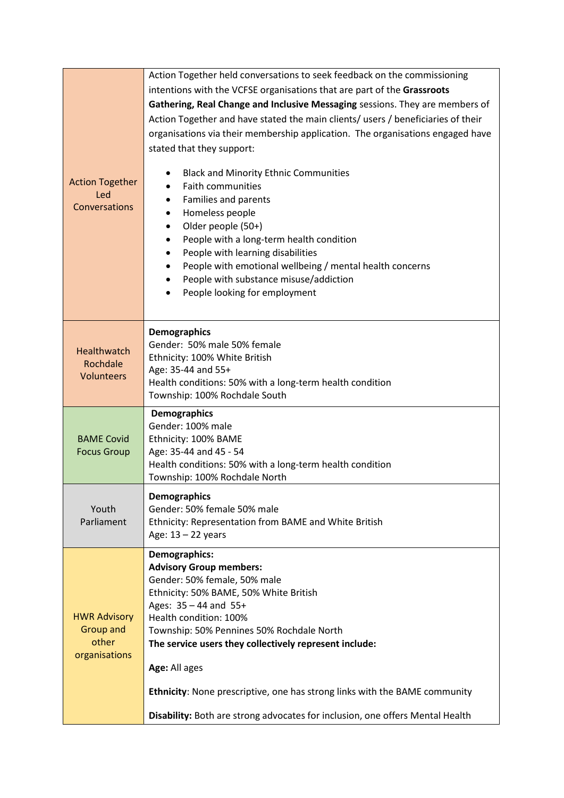|                               | Action Together held conversations to seek feedback on the commissioning                  |
|-------------------------------|-------------------------------------------------------------------------------------------|
|                               | intentions with the VCFSE organisations that are part of the Grassroots                   |
|                               | Gathering, Real Change and Inclusive Messaging sessions. They are members of              |
|                               | Action Together and have stated the main clients/ users / beneficiaries of their          |
|                               | organisations via their membership application. The organisations engaged have            |
|                               | stated that they support:                                                                 |
|                               |                                                                                           |
|                               | <b>Black and Minority Ethnic Communities</b>                                              |
| <b>Action Together</b><br>Led | <b>Faith communities</b>                                                                  |
| Conversations                 | Families and parents<br>٠                                                                 |
|                               | Homeless people<br>$\bullet$                                                              |
|                               | Older people (50+)<br>$\bullet$                                                           |
|                               | People with a long-term health condition<br>$\bullet$                                     |
|                               | People with learning disabilities<br>$\bullet$                                            |
|                               | People with emotional wellbeing / mental health concerns<br>$\bullet$                     |
|                               | People with substance misuse/addiction<br>٠<br>People looking for employment<br>$\bullet$ |
|                               |                                                                                           |
|                               |                                                                                           |
|                               | <b>Demographics</b>                                                                       |
| Healthwatch                   | Gender: 50% male 50% female                                                               |
| Rochdale                      | Ethnicity: 100% White British                                                             |
| Volunteers                    | Age: 35-44 and 55+                                                                        |
|                               | Health conditions: 50% with a long-term health condition<br>Township: 100% Rochdale South |
|                               | <b>Demographics</b>                                                                       |
|                               | Gender: 100% male                                                                         |
| <b>BAME Covid</b>             | Ethnicity: 100% BAME                                                                      |
| <b>Focus Group</b>            | Age: 35-44 and 45 - 54                                                                    |
|                               | Health conditions: 50% with a long-term health condition                                  |
|                               | Township: 100% Rochdale North                                                             |
|                               | <b>Demographics</b>                                                                       |
| Youth                         | Gender: 50% female 50% male                                                               |
| Parliament                    | Ethnicity: Representation from BAME and White British                                     |
|                               | Age: $13 - 22$ years                                                                      |
|                               | Demographics:                                                                             |
|                               | <b>Advisory Group members:</b>                                                            |
|                               | Gender: 50% female, 50% male                                                              |
|                               | Ethnicity: 50% BAME, 50% White British<br>Ages: 35 - 44 and 55+                           |
| <b>HWR Advisory</b>           | Health condition: 100%                                                                    |
| <b>Group and</b>              | Township: 50% Pennines 50% Rochdale North                                                 |
| other                         | The service users they collectively represent include:                                    |
| organisations                 |                                                                                           |
|                               | Age: All ages                                                                             |
|                               | Ethnicity: None prescriptive, one has strong links with the BAME community                |
|                               | Disability: Both are strong advocates for inclusion, one offers Mental Health             |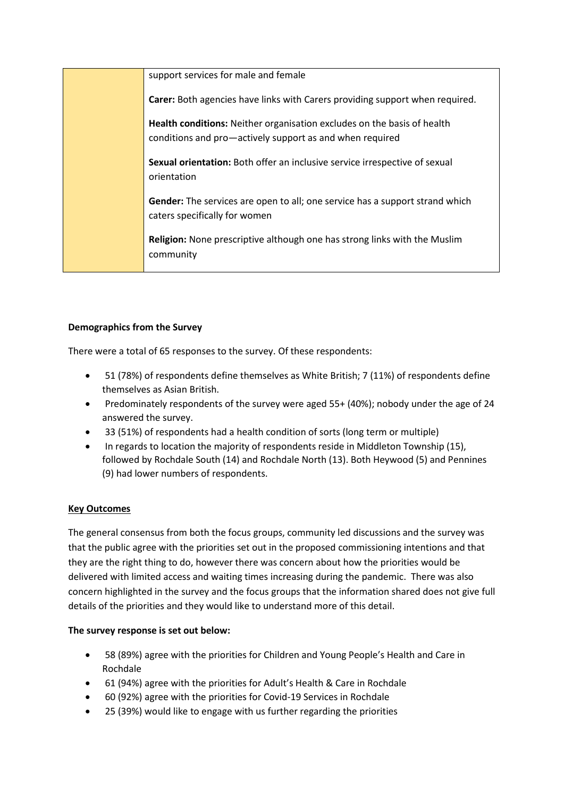| support services for male and female                                                                                                       |
|--------------------------------------------------------------------------------------------------------------------------------------------|
| Carer: Both agencies have links with Carers providing support when required.                                                               |
| <b>Health conditions:</b> Neither organisation excludes on the basis of health<br>conditions and pro—actively support as and when required |
| Sexual orientation: Both offer an inclusive service irrespective of sexual<br>orientation                                                  |
| Gender: The services are open to all; one service has a support strand which<br>caters specifically for women                              |
| <b>Religion:</b> None prescriptive although one has strong links with the Muslim<br>community                                              |

### **Demographics from the Survey**

There were a total of 65 responses to the survey. Of these respondents:

- 51 (78%) of respondents define themselves as White British; 7 (11%) of respondents define themselves as Asian British.
- Predominately respondents of the survey were aged 55+ (40%); nobody under the age of 24 answered the survey.
- 33 (51%) of respondents had a health condition of sorts (long term or multiple)
- In regards to location the majority of respondents reside in Middleton Township (15), followed by Rochdale South (14) and Rochdale North (13). Both Heywood (5) and Pennines (9) had lower numbers of respondents.

# **Key Outcomes**

The general consensus from both the focus groups, community led discussions and the survey was that the public agree with the priorities set out in the proposed commissioning intentions and that they are the right thing to do, however there was concern about how the priorities would be delivered with limited access and waiting times increasing during the pandemic. There was also concern highlighted in the survey and the focus groups that the information shared does not give full details of the priorities and they would like to understand more of this detail.

### **The survey response is set out below:**

- 58 (89%) agree with the priorities for Children and Young People's Health and Care in Rochdale
- 61 (94%) agree with the priorities for Adult's Health & Care in Rochdale
- 60 (92%) agree with the priorities for Covid-19 Services in Rochdale
- 25 (39%) would like to engage with us further regarding the priorities